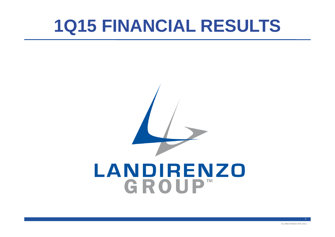# **1Q15 FINANCIAL RESULTS**

# LANDIRENZO GROUP™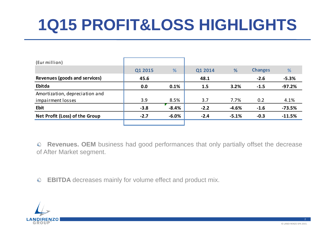# **1Q15 PROFIT&LOSS HIGHLIGHTS**

| (Eur million)                  |         |         |         |         |                |          |
|--------------------------------|---------|---------|---------|---------|----------------|----------|
|                                | Q1 2015 | %       | Q1 2014 | %       | <b>Changes</b> | %        |
| Revenues (goods and services)  | 45.6    |         | 48.1    |         | $-2.6$         | $-5.3%$  |
| Ebitda                         | 0.0     | 0.1%    | 1.5     | 3.2%    | $-1.5$         | $-97.2%$ |
| Amortization, depreciation and |         |         |         |         |                |          |
| impairment losses              | 3.9     | 8.5%    | 3.7     | 7.7%    | 0.2            | 4.1%     |
| <b>Ebit</b>                    | $-3.8$  | $-8.4%$ | $-2.2$  | $-4.6%$ | $-1.6$         | $-73.5%$ |
| Net Profit (Loss) of the Group | $-2.7$  | $-6.0%$ | $-2.4$  | $-5.1%$ | $-0.3$         | $-11.5%$ |
|                                |         |         |         |         |                |          |

**Revenues. OEM** business had good performances that only partially offset the decrease of After Market segment.

**EBITDA** decreases mainly for volume effect and product mix.

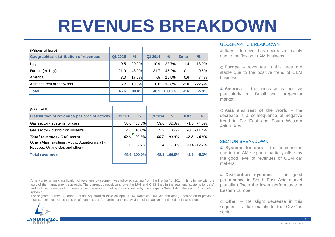# **REVENUES BREAKDOWN**

| (Millions of Euro)                           |         |               |         |               |              |               |
|----------------------------------------------|---------|---------------|---------|---------------|--------------|---------------|
| <b>Geographical distribution of revenues</b> | Q1 2015 | $\frac{0}{2}$ | Q1 2014 | $\frac{9}{6}$ | <b>Delta</b> | $\frac{9}{6}$ |
| Italy                                        | 9.5     | 20.9%         | 10.9    | 22.7%         | $-1.4$       | $-13.0%$      |
| Europa (ex Italy)                            | 21.9    | 48.0%         | 21.7    | 45.2%         | 0.1          | 0.6%          |
| America                                      | 8.0     | 17.6%         | 7.5     | 15.5%         | 0.6          | 7.4%          |
| Asia and rest of the world                   | 6.2     | 13.5%         | 8.0     | 16.6%         | $-1.8$       | $-22.9%$      |
| <b>Total</b>                                 | 45.6    | $100.0\%$     | 48.1    | $100.0\%$     | $-2.6$       | $-5.3%$       |
|                                              |         |               |         |               |              |               |

| (Million of Eur)                                                                  |         |               |         |               |              |                           |
|-----------------------------------------------------------------------------------|---------|---------------|---------|---------------|--------------|---------------------------|
| Distribution of revenues per area of activity                                     | Q1 2015 | $\frac{0}{2}$ | Q1 2014 | $\frac{9}{6}$ | <b>Delta</b> | $\frac{9}{6}$             |
| Gas sector - systems for cars                                                     | 38.0    | 83.5%         | 39.6    | 82.3%         |              | $-1.6 - 4.0\%$            |
| Gas sector - distribution systems                                                 | 4.6     | $10.0\%$      | 5.2     | 10.7%         |              | $-0.6 - 11.4%$            |
|                                                                                   |         |               |         |               |              |                           |
| <b>Total revenues - GAS sector</b>                                                | 42.6    | 93.5%         | 44.7    | 93.0%         | $-2.2$       |                           |
| Other (Alarm systems, Audio, Aquatronics (1),<br>Robotics, Oil and Gas and other) | 3.0     | 6.5%          | 3.4     | 7.0%          |              | $-4.8%$<br>$-0.4 - 12.2%$ |
| <b>Total revenues</b>                                                             |         | 45.6 100.0%   |         | 48.1 100.0%   | $-2.6$       | $-5.3%$                   |

A new criterion for classification of revenues by segment was followed starting from the first half of 2014: this is in line with the logic of the management approach. The current composition shows the LPG and CNG lines in the segment "systems for cars" and includes revenues from sales of compressors for fueling stations, made by the company Safe SpA in the sector "distribution system".

 The segment "Other - (Alarms, Sound, Aquatronica (sold on April 2014), Robotics, Oil&Gas and other)," compared to previousresults, does not include the sale of compressors for fuelling stations, by virtue of the above mentioned reclassification.

## **LANDIRENZO** GROUE

#### GEOGRAPHIC BREAKDOWN

 **Italy** – turnover has decreased mainly due to the flexion in AM business.

**Europe** – revenues in this area are stable due to the positive trend of OEMbusiness.

**America** – the increase is positive particularly in Brasil and Argentinamarket.

**Asia and rest of the world** – the decrease is <sup>a</sup> consequence of negative trend in Far East and South WesternAsian Area.

#### SECTOR BREAKDOWN

**Systems for cars** – the decrease is due to the AM segment partially offset by the good level of revenues of OEM carmakers.

**Distribution systems** – the good performance in South East Asia market partially offsets the lower performance inEastern Europe.

**Other** – the slight decrease in this segment is due mainly to the Oil&Gassector.

3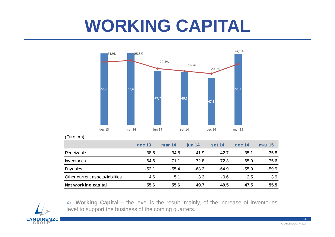# **WORKING CAPITAL**





**Working Capital –** the level is the result, mainly, of the increase of inventories level to support the business of the coming quarters.

4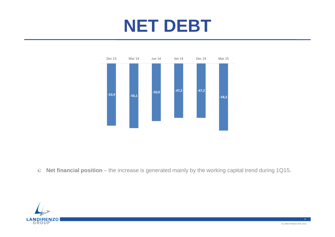# **NET DEBT**



**Net financial position** – the increase is generated mainly by the working capital trend during 1Q15.

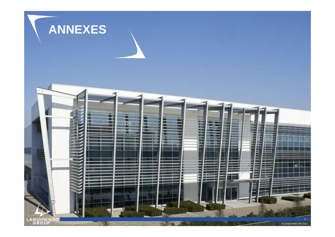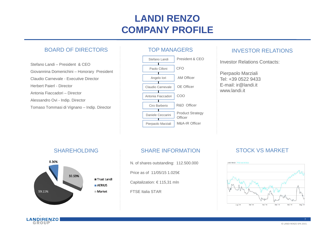## **LANDI RENZO COMPANY PROFILE**

### BOARD OF DIRECTORS

Stefano Landi – President & CEO Giovannina Domenichini – Honorary President Claudio Carnevale - Executive DirectorHerbert Paierl - DirectorAntonia Fiaccadori – DirectorAlessandro Ovi - Indip. DirectorTomaso Tommasi di Vignano – Indip. Director



#### INVESTOR RELATIONS

Investor Relations Contacts:

Pierpaolo Marziali Tel: +39 0522 9433 E-mail: ir@landi.itwww.landi.it

## SHAREHOLDING



#### SHARE INFORMATION

N. of shares outstanding: 112.500.000Price as of 11/05/15 1.025€Capitalization: € 115,31 mlnFTSE Italia STAR

## STOCK VS MARKET



LANDIRENZO

7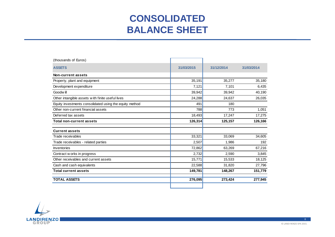## **CONSOLIDATEDBALANCE SHEET**

| (thousands of Euros)                                    |            |            |            |
|---------------------------------------------------------|------------|------------|------------|
| <b>ASSETS</b>                                           | 31/03/2015 | 31/12/2014 | 31/03/2014 |
| Non-current assets                                      |            |            |            |
| Property, plant and equipment                           | 35,191     | 35,277     | 35,180     |
| Development expenditure                                 | 7,121      | 7,101      | 6,435      |
| Goodw ill                                               | 39,942     | 39,942     | 40,190     |
| Other intangible assets with finite useful lives        | 24,288     | 24,637     | 26,035     |
| Equity investments consolidated using the equity method | 491        | 180        |            |
| Other non-current financial assets                      | 788        | 773        | 1,051      |
| Deferred tax assets                                     | 18,493     | 17,247     | 17,275     |
| <b>Total non-current assets</b>                         | 126,314    | 125,157    | 126,166    |
| <b>Current assets</b>                                   |            |            |            |
| Trade receivables                                       | 33,321     | 33,069     | 34,605     |
| Trade receivables - related parties                     | 2,507      | 1,986      | 192        |
| <b>Inventories</b>                                      | 72,862     | 63,269     | 67,216     |
| Contract w orks in progress                             | 2,732      | 2,590      | 3,845      |
| Other receivables and current assets                    | 15,771     | 15,533     | 18,125     |
| Cash and cash equivalents                               | 22,588     | 31,820     | 27,796     |
| <b>Total current assets</b>                             | 149,781    | 148,267    | 151,779    |
| <b>TOTAL ASSETS</b>                                     | 276,095    | 273,424    | 277,945    |
|                                                         |            |            |            |

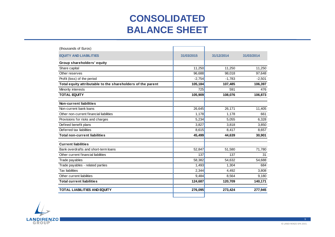## **CONSOLIDATED BALANCE SHEET**

| (thousands of Euros)                                        |            |            |            |
|-------------------------------------------------------------|------------|------------|------------|
| <b>EQUITY AND LIABILITIES</b>                               | 31/03/2015 | 31/12/2014 | 31/03/2014 |
| Group shareholders' equity                                  |            |            |            |
| Share capital                                               | 11,250     | 11,250     | 11,250     |
| Other reserves                                              | 96,688     | 98,018     | 97,648     |
| Profit (loss) of the period                                 | $-2,754$   | $-1.783$   | $-2,501$   |
| Total equity attributable to the shareholders of the parent | 105,184    | 107,485    | 106,397    |
| Minority interests                                          | 725        | 591        | 476        |
| <b>TOTAL EQUITY</b>                                         | 105,909    | 108,076    | 106,873    |
| <b>Non-current liabilities</b>                              |            |            |            |
| Non-current bank loans                                      | 26,645     | 26,171     | 11,405     |
| Other non-current financial liabilities                     | 1,178      | 1,178      | 661        |
| Provisions for risks and charges                            | 5,234      | 5,055      | 6,328      |
| Defined benefit plans                                       | 3,827      | 3,818      | 3,850      |
| Deferred tax liabilities                                    | 8,615      | 8,417      | 8,657      |
| <b>Total non-current liabilities</b>                        | 45,499     | 44,639     | 30,901     |
| <b>Current liabilities</b>                                  |            |            |            |
| Bank overdrafts and short-term loans                        | 52,847     | 51,580     | 71,780     |
| Other current financial liabilities                         | 137        | 137        | 31         |
| Trade payables                                              | 58,382     | 54,632     | 54,688     |
| Trade payables - related parties                            | 1,493      | 1,304      | 684        |
| <b>Tax liabilities</b>                                      | 2,344      | 4,492      | 3,808      |
| Other current liabilities                                   | 9,484      | 8,564      | 9,180      |
| <b>Total current liabilities</b>                            | 124,687    | 120,709    | 140,171    |
| <b>TOTAL LIABILITIES AND EQUITY</b>                         | 276,095    | 273,424    | 277,945    |
|                                                             |            |            |            |

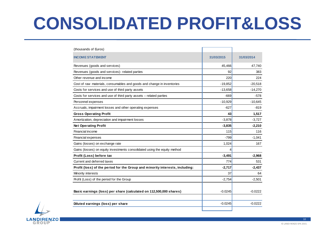# **CONSOLIDATED PROFIT&LOSS**

| (thousands of Euros)                                                         |            |            |
|------------------------------------------------------------------------------|------------|------------|
| <b>INCOME STATEMENT</b>                                                      | 31/03/2015 | 31/03/2014 |
| Revenues (goods and services)                                                | 45,466     | 47,740     |
| Revenues (goods and services)- related parties                               | 92         | 383        |
| Other revenue and income                                                     | 220        | 224        |
| Cost of raw materials, consumables and goods and change in inventories       | $-19,852$  | $-20,518$  |
| Costs for services and use of third party assets                             | $-13,658$  | $-14,270$  |
| Costs for services and use of third party assets - related parties           | $-669$     | $-578$     |
| Personnel expenses                                                           | $-10,929$  | $-10,645$  |
| Accruals, impairment losses and other operating expenses                     | $-627$     | $-819$     |
| <b>Gross Operating Profit</b>                                                | 43         | 1,517      |
| Amortization, depreciation and impairment losses                             | $-3,878$   | $-3,727$   |
| <b>Net Operating Profit</b>                                                  | $-3,835$   | $-2,210$   |
| Financial income                                                             | 115        | 116        |
| <b>Financial expenses</b>                                                    | $-799$     | $-1,041$   |
| Gains (losses) on exchange rate                                              | 1,024      | 167        |
| Gains (losses) on equity investments consolidated using the equity method    | Δ          |            |
| Profit (Loss) before tax                                                     | $-3,491$   | $-2,968$   |
| Current and deferred taxes                                                   | 774        | 531        |
| Profit (loss) of the period for the Group and minority interests, including: | $-2,717$   | $-2,437$   |
| Minority interests                                                           | 37         | 64         |
| Profit (Loss) of the period for the Group                                    | $-2,754$   | $-2,501$   |
|                                                                              |            |            |
| Basic earnings (loss) per share (calculated on 112,500,000 shares)           | $-0.0245$  | $-0.0222$  |
|                                                                              |            |            |
| Diluted earnings (loss) per share                                            | $-0.0245$  | $-0.0222$  |
|                                                                              |            |            |